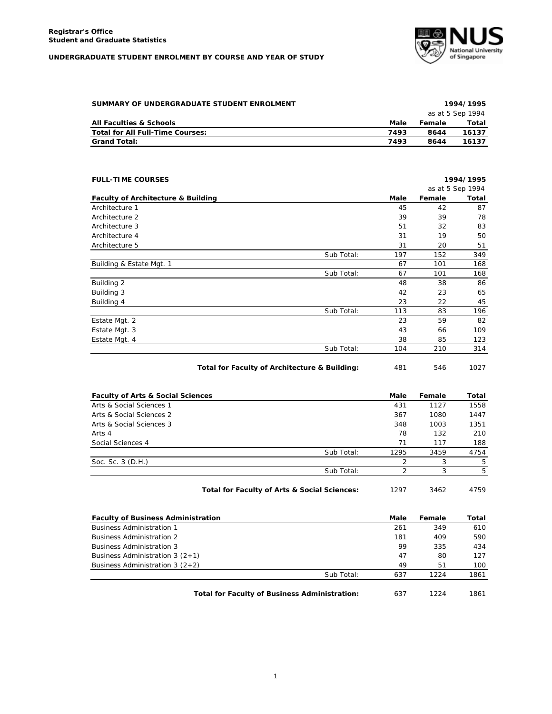## **UNDERGRADUATE STUDENT ENROLMENT BY COURSE AND YEAR OF STUDY**



| SUMMARY OF UNDERGRADUATE STUDENT ENROLMENT |      |        | 1994/1995        |
|--------------------------------------------|------|--------|------------------|
|                                            |      |        | as at 5 Sep 1994 |
| <b>All Faculties &amp; Schools</b>         | Male | Female | Total            |
| Total for All Full-Time Courses:           | 7493 | 8644   | 16137            |
| <b>Grand Total:</b>                        | 7493 | 8644   | 16137            |

| Male<br>45<br>39<br>51<br>31<br>31<br>Sub Total:<br>197 | Female<br>42<br>39<br>32<br>19<br>20<br>152 | as at 5 Sep 1994<br>87<br>78<br>83<br>50<br>51 |
|---------------------------------------------------------|---------------------------------------------|------------------------------------------------|
|                                                         |                                             | Total<br>349                                   |
|                                                         |                                             |                                                |
|                                                         |                                             |                                                |
|                                                         |                                             |                                                |
|                                                         |                                             |                                                |
|                                                         |                                             |                                                |
|                                                         |                                             |                                                |
|                                                         |                                             |                                                |
| 67                                                      | 101                                         | 168                                            |
| Sub Total:<br>67                                        | 101                                         | 168                                            |
| 48                                                      | 38                                          | 86                                             |
| 42                                                      | 23                                          | 65                                             |
| 23                                                      | 22                                          | 45                                             |
| Sub Total:<br>113                                       | 83                                          | 196                                            |
| 23                                                      | 59                                          | 82                                             |
| 43                                                      | 66                                          | 109                                            |
| 38                                                      | 85                                          | 123                                            |
| Sub Total:<br>104                                       | 210                                         | 314                                            |
|                                                         |                                             |                                                |

| Total for Faculty of Architecture & Building: | 481 | 546 | 1027 |
|-----------------------------------------------|-----|-----|------|
|-----------------------------------------------|-----|-----|------|

| <b>Faculty of Arts &amp; Social Sciences</b> |                                              | Male | Female | Total |
|----------------------------------------------|----------------------------------------------|------|--------|-------|
| Arts & Social Sciences 1                     |                                              | 431  | 1127   | 1558  |
| Arts & Social Sciences 2                     |                                              | 367  | 1080   | 1447  |
| Arts & Social Sciences 3                     |                                              | 348  | 1003   | 1351  |
| Arts 4                                       |                                              | 78   | 132    | 210   |
| Social Sciences 4                            |                                              | 71   | 117    | 188   |
|                                              | Sub Total:                                   | 1295 | 3459   | 4754  |
| Soc. Sc. 3 (D.H.)                            |                                              | 2    | 3      | 5     |
|                                              | Sub Total:                                   | っ    | 3      | 5     |
|                                              | Total for Faculty of Arts & Social Sciences: | 1297 | 3462   | 4759  |

| <b>Faculty of Business Administration</b>            | Male | Female | Total |
|------------------------------------------------------|------|--------|-------|
| <b>Business Administration 1</b>                     | 261  | 349    | 610   |
| <b>Business Administration 2</b>                     | 181  | 409    | 590   |
| <b>Business Administration 3</b>                     | 99   | 335    | 434   |
| Business Administration 3 $(2+1)$                    | 47   | 80     | 127   |
| Business Administration 3 $(2+2)$                    | 49   | 51     | 100   |
| Sub Total:                                           | 637  | 1224   | 1861  |
| <b>Total for Faculty of Business Administration:</b> | 637  | 1224   | 1861  |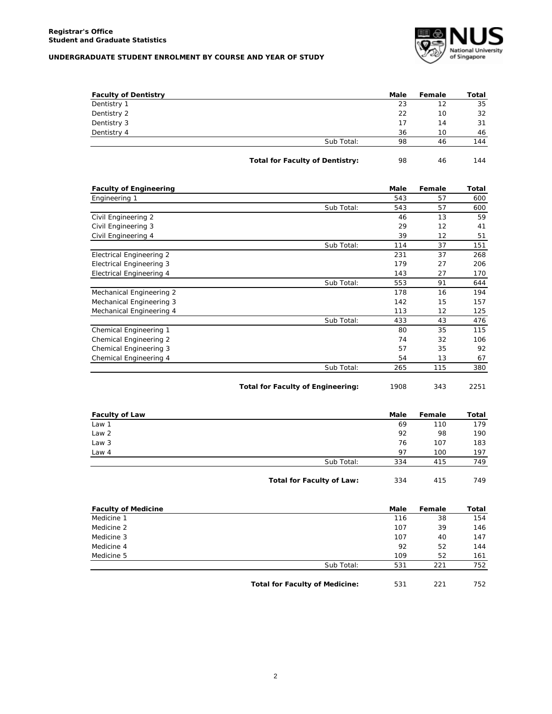## **UNDERGRADUATE STUDENT ENROLMENT BY COURSE AND YEAR OF STUDY**



| <b>Faculty of Dentistry</b> |                                        | Male | Female | Total |
|-----------------------------|----------------------------------------|------|--------|-------|
| Dentistry 1                 |                                        | 23   | 12     | 35    |
| Dentistry 2                 |                                        | 22   | 10     | 32    |
| Dentistry 3                 |                                        | 17   | 14     | 31    |
| Dentistry 4                 |                                        | 36   | 10     | 46    |
|                             | Sub Total:                             | 98   | 46     | 144   |
|                             | <b>Total for Faculty of Dentistry:</b> | 98   | 46     | 144   |

| <b>Faculty of Engineering</b>   |            | <b>Male</b> | Female | Total |
|---------------------------------|------------|-------------|--------|-------|
| Engineering 1                   |            | 543         | 57     | 600   |
|                                 | Sub Total: | 543         | 57     | 600   |
| Civil Engineering 2             |            | 46          | 13     | 59    |
| Civil Engineering 3             |            | 29          | 12     | 41    |
| Civil Engineering 4             |            | 39          | 12     | 51    |
|                                 | Sub Total: | 114         | 37     | 151   |
| <b>Electrical Engineering 2</b> |            | 231         | 37     | 268   |
| <b>Electrical Engineering 3</b> |            | 179         | 27     | 206   |
| Electrical Engineering 4        |            | 143         | 27     | 170   |
|                                 | Sub Total: | 553         | 91     | 644   |
| Mechanical Engineering 2        |            | 178         | 16     | 194   |
| Mechanical Engineering 3        |            | 142         | 15     | 157   |
| Mechanical Engineering 4        |            | 113         | 12     | 125   |
|                                 | Sub Total: | 433         | 43     | 476   |
| Chemical Engineering 1          |            | 80          | 35     | 115   |
| Chemical Engineering 2          |            | 74          | 32     | 106   |
| Chemical Engineering 3          |            | 57          | 35     | 92    |
| Chemical Engineering 4          |            | 54          | 13     | 67    |
|                                 | Sub Total: | 265         | 115    | 380   |
|                                 |            |             |        |       |

**Total for Faculty of Engineering:** 1908 343 2251

| 69         | 110 | 179 |
|------------|-----|-----|
| 92         | 98  | 190 |
| 76         | 107 | 183 |
| 97         | 100 | 197 |
| 334        | 415 | 749 |
| Sub Total: |     |     |

| <b>Faculty of Medicine</b> |            | Male | Female | Total |
|----------------------------|------------|------|--------|-------|
| Medicine 1                 |            | 116  | 38     | 154   |
| Medicine 2                 |            | 107  | 39     | 146   |
| Medicine 3                 |            | 107  | 40     | 147   |
| Medicine 4                 |            | 92   | 52     | 144   |
| Medicine 5                 |            | 109  | 52     | 161   |
|                            | Sub Total: | 531  | 221    | 752   |
|                            |            |      |        |       |

Total for Faculty of Medicine: 531 221 752